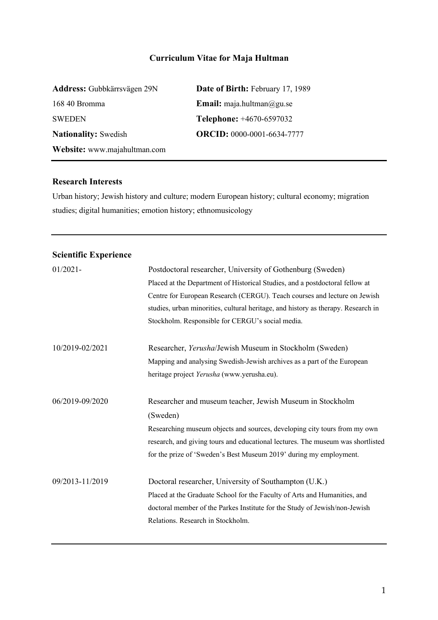# **Curriculum Vitae for Maja Hultman**

| Address: Gubbkärrsvägen 29N  | Date of Birth: February 17, 1989  |  |
|------------------------------|-----------------------------------|--|
| 168 40 Bromma                | <b>Email:</b> maja.hultman@gu.se  |  |
| <b>SWEDEN</b>                | <b>Telephone:</b> +4670-6597032   |  |
| <b>Nationality:</b> Swedish  | <b>ORCID:</b> 0000-0001-6634-7777 |  |
| Website: www.majahultman.com |                                   |  |

## **Research Interests**

Urban history; Jewish history and culture; modern European history; cultural economy; migration studies; digital humanities; emotion history; ethnomusicology

# **Scientific Experience**

| $01/2021 -$     | Postdoctoral researcher, University of Gothenburg (Sweden)<br>Placed at the Department of Historical Studies, and a postdoctoral fellow at<br>Centre for European Research (CERGU). Teach courses and lecture on Jewish<br>studies, urban minorities, cultural heritage, and history as therapy. Research in<br>Stockholm. Responsible for CERGU's social media. |
|-----------------|------------------------------------------------------------------------------------------------------------------------------------------------------------------------------------------------------------------------------------------------------------------------------------------------------------------------------------------------------------------|
| 10/2019-02/2021 | Researcher, Yerusha/Jewish Museum in Stockholm (Sweden)<br>Mapping and analysing Swedish-Jewish archives as a part of the European<br>heritage project Yerusha (www.yerusha.eu).                                                                                                                                                                                 |
| 06/2019-09/2020 | Researcher and museum teacher, Jewish Museum in Stockholm<br>(Sweden)<br>Researching museum objects and sources, developing city tours from my own<br>research, and giving tours and educational lectures. The museum was shortlisted<br>for the prize of 'Sweden's Best Museum 2019' during my employment.                                                      |
| 09/2013-11/2019 | Doctoral researcher, University of Southampton (U.K.)<br>Placed at the Graduate School for the Faculty of Arts and Humanities, and<br>doctoral member of the Parkes Institute for the Study of Jewish/non-Jewish<br>Relations. Research in Stockholm.                                                                                                            |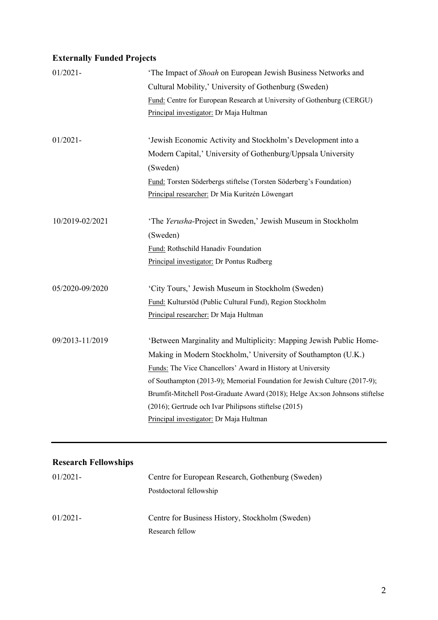# **Externally Funded Projects**

| $01/2021 -$     | 'The Impact of Shoah on European Jewish Business Networks and<br>Cultural Mobility,' University of Gothenburg (Sweden)<br>Fund: Centre for European Research at University of Gothenburg (CERGU) |
|-----------------|--------------------------------------------------------------------------------------------------------------------------------------------------------------------------------------------------|
|                 | Principal investigator: Dr Maja Hultman                                                                                                                                                          |
| $01/2021 -$     | 'Jewish Economic Activity and Stockholm's Development into a                                                                                                                                     |
|                 | Modern Capital,' University of Gothenburg/Uppsala University                                                                                                                                     |
|                 | (Sweden)                                                                                                                                                                                         |
|                 | Fund: Torsten Söderbergs stiftelse (Torsten Söderberg's Foundation)                                                                                                                              |
|                 | Principal researcher: Dr Mia Kuritzén Löwengart                                                                                                                                                  |
|                 |                                                                                                                                                                                                  |
| 10/2019-02/2021 | 'The Yerusha-Project in Sweden,' Jewish Museum in Stockholm                                                                                                                                      |
|                 | (Sweden)                                                                                                                                                                                         |
|                 | Fund: Rothschild Hanadiv Foundation                                                                                                                                                              |
|                 | Principal investigator: Dr Pontus Rudberg                                                                                                                                                        |
|                 |                                                                                                                                                                                                  |
| 05/2020-09/2020 | 'City Tours,' Jewish Museum in Stockholm (Sweden)                                                                                                                                                |
|                 | Fund: Kulturstöd (Public Cultural Fund), Region Stockholm                                                                                                                                        |
|                 | Principal researcher: Dr Maja Hultman                                                                                                                                                            |
| 09/2013-11/2019 | 'Between Marginality and Multiplicity: Mapping Jewish Public Home-                                                                                                                               |
|                 | Making in Modern Stockholm,' University of Southampton (U.K.)                                                                                                                                    |
|                 | Funds: The Vice Chancellors' Award in History at University                                                                                                                                      |
|                 | of Southampton (2013-9); Memorial Foundation for Jewish Culture (2017-9);                                                                                                                        |
|                 | Brumfit-Mitchell Post-Graduate Award (2018); Helge Ax:son Johnsons stiftelse                                                                                                                     |
|                 | (2016); Gertrude och Ivar Philipsons stiftelse (2015)                                                                                                                                            |
|                 | Principal investigator: Dr Maja Hultman                                                                                                                                                          |
|                 |                                                                                                                                                                                                  |

# **Research Fellowships**

| $01/2021-$ | Centre for European Research, Gothenburg (Sweden) |  |
|------------|---------------------------------------------------|--|
|            | Postdoctoral fellowship                           |  |
| $01/2021-$ | Centre for Business History, Stockholm (Sweden)   |  |
|            | Research fellow                                   |  |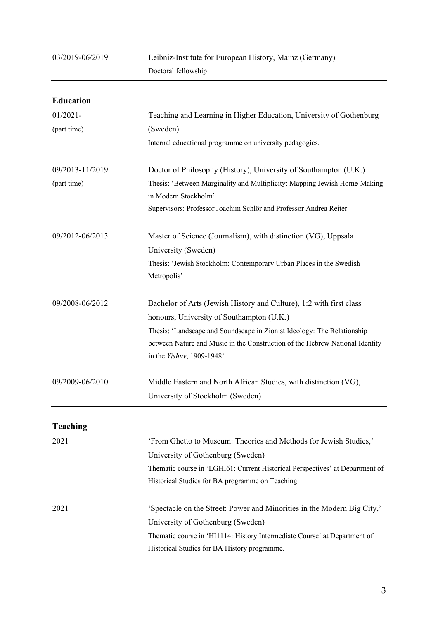| <b>Education</b> |                                                                                                           |  |
|------------------|-----------------------------------------------------------------------------------------------------------|--|
| $01/2021 -$      | Teaching and Learning in Higher Education, University of Gothenburg                                       |  |
| (part time)      | (Sweden)                                                                                                  |  |
|                  | Internal educational programme on university pedagogics.                                                  |  |
| 09/2013-11/2019  | Doctor of Philosophy (History), University of Southampton (U.K.)                                          |  |
| (part time)      | Thesis: 'Between Marginality and Multiplicity: Mapping Jewish Home-Making<br>in Modern Stockholm'         |  |
|                  | Supervisors: Professor Joachim Schlör and Professor Andrea Reiter                                         |  |
| 09/2012-06/2013  | Master of Science (Journalism), with distinction (VG), Uppsala<br>University (Sweden)                     |  |
|                  | Thesis: 'Jewish Stockholm: Contemporary Urban Places in the Swedish<br>Metropolis'                        |  |
| 09/2008-06/2012  | Bachelor of Arts (Jewish History and Culture), 1:2 with first class                                       |  |
|                  | honours, University of Southampton (U.K.)                                                                 |  |
|                  | Thesis: 'Landscape and Soundscape in Zionist Ideology: The Relationship                                   |  |
|                  | between Nature and Music in the Construction of the Hebrew National Identity<br>in the Yishuv, 1909-1948' |  |
| 09/2009-06/2010  | Middle Eastern and North African Studies, with distinction (VG),                                          |  |
|                  | University of Stockholm (Sweden)                                                                          |  |
| Teaching         |                                                                                                           |  |
| 2021             | 'From Ghetto to Museum: Theories and Methods for Jewish Studies,'                                         |  |
|                  | University of Gothenburg (Sweden)                                                                         |  |
|                  | Thematic course in 'LGHI61: Current Historical Perspectives' at Department of                             |  |
|                  | Historical Studies for BA programme on Teaching.                                                          |  |
| 2021             | 'Spectacle on the Street: Power and Minorities in the Modern Big City,'                                   |  |
|                  | University of Gothenburg (Sweden)                                                                         |  |
|                  | Thematic course in 'HI1114: History Intermediate Course' at Department of                                 |  |
|                  | Historical Studies for BA History programme.                                                              |  |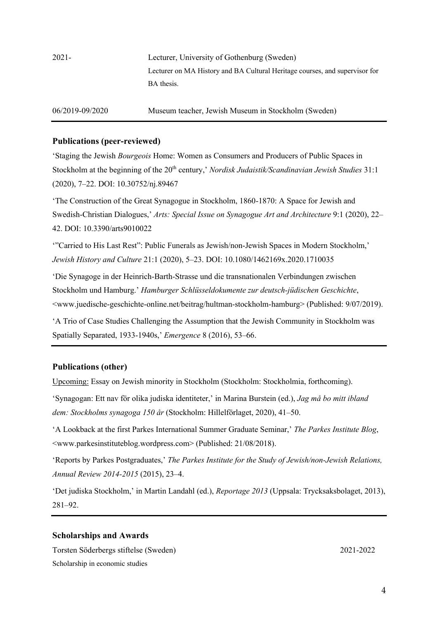2021- Lecturer, University of Gothenburg (Sweden) Lecturer on MA History and BA Cultural Heritage courses, and supervisor for BA thesis.

06/2019-09/2020 Museum teacher, Jewish Museum in Stockholm (Sweden)

#### **Publications (peer-reviewed)**

'Staging the Jewish *Bourgeois* Home: Women as Consumers and Producers of Public Spaces in Stockholm at the beginning of the 20<sup>th</sup> century,' *Nordisk Judaistik/Scandinavian Jewish Studies* 31:1 (2020), 7–22. DOI: 10.30752/nj.89467

'The Construction of the Great Synagogue in Stockholm, 1860-1870: A Space for Jewish and Swedish-Christian Dialogues,' *Arts: Special Issue on Synagogue Art and Architecture* 9:1 (2020), 22– 42. DOI: 10.3390/arts9010022

'"Carried to His Last Rest": Public Funerals as Jewish/non-Jewish Spaces in Modern Stockholm,' *Jewish History and Culture* 21:1 (2020), 5–23. DOI: 10.1080/1462169x.2020.1710035

'Die Synagoge in der Heinrich-Barth-Strasse und die transnationalen Verbindungen zwischen Stockholm und Hamburg.' *Hamburger Schlüsseldokumente zur deutsch-jüdischen Geschichte*, <www.juedische-geschichte-online.net/beitrag/hultman-stockholm-hamburg> (Published: 9/07/2019).

'A Trio of Case Studies Challenging the Assumption that the Jewish Community in Stockholm was Spatially Separated, 1933-1940s,' *Emergence* 8 (2016), 53–66.

#### **Publications (other)**

Upcoming: Essay on Jewish minority in Stockholm (Stockholm: Stockholmia, forthcoming).

'Synagogan: Ett nav för olika judiska identiteter,' in Marina Burstein (ed.), *Jag må bo mitt ibland dem: Stockholms synagoga 150 år* (Stockholm: Hillelförlaget, 2020), 41–50.

'A Lookback at the first Parkes International Summer Graduate Seminar,' *The Parkes Institute Blog*, <www.parkesinstituteblog.wordpress.com> (Published: 21/08/2018).

'Reports by Parkes Postgraduates,' *The Parkes Institute for the Study of Jewish/non-Jewish Relations, Annual Review 2014-2015* (2015), 23–4.

'Det judiska Stockholm,' in Martin Landahl (ed.), *Reportage 2013* (Uppsala: Trycksaksbolaget, 2013), 281–92.

#### **Scholarships and Awards**

Torsten Söderbergs stiftelse (Sweden) 2021-2022 Scholarship in economic studies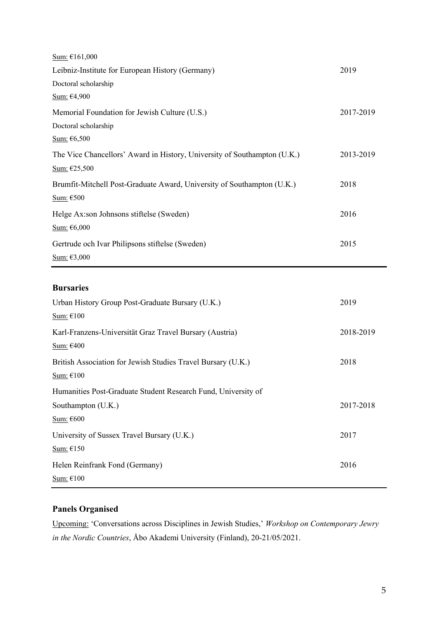| Sum: €161,000                                                            |           |
|--------------------------------------------------------------------------|-----------|
| Leibniz-Institute for European History (Germany)                         | 2019      |
| Doctoral scholarship                                                     |           |
| Sum: $\epsilon$ 4,900                                                    |           |
| Memorial Foundation for Jewish Culture (U.S.)                            | 2017-2019 |
| Doctoral scholarship                                                     |           |
| Sum: $\epsilon$ 6,500                                                    |           |
| The Vice Chancellors' Award in History, University of Southampton (U.K.) | 2013-2019 |
| Sum: €25,500                                                             |           |
| Brumfit-Mitchell Post-Graduate Award, University of Southampton (U.K.)   | 2018      |
| Sum: €500                                                                |           |
| Helge Ax:son Johnsons stiftelse (Sweden)                                 | 2016      |
| Sum: $€6,000$                                                            |           |
| Gertrude och Ivar Philipsons stiftelse (Sweden)                          | 2015      |
| Sum: €3,000                                                              |           |

# **Bursaries**

| Urban History Group Post-Graduate Bursary (U.K.)              | 2019      |
|---------------------------------------------------------------|-----------|
| Sum: €100                                                     |           |
| Karl-Franzens-Universität Graz Travel Bursary (Austria)       | 2018-2019 |
| Sum: €400                                                     |           |
| British Association for Jewish Studies Travel Bursary (U.K.)  | 2018      |
| Sum: €100                                                     |           |
| Humanities Post-Graduate Student Research Fund, University of |           |
| Southampton (U.K.)                                            | 2017-2018 |
| Sum: €600                                                     |           |
| University of Sussex Travel Bursary (U.K.)                    | 2017      |
| Sum: €150                                                     |           |
| Helen Reinfrank Fond (Germany)                                | 2016      |
| Sum: €100                                                     |           |

# **Panels Organised**

Upcoming: 'Conversations across Disciplines in Jewish Studies,' *Workshop on Contemporary Jewry in the Nordic Countries*, Åbo Akademi University (Finland), 20-21/05/2021.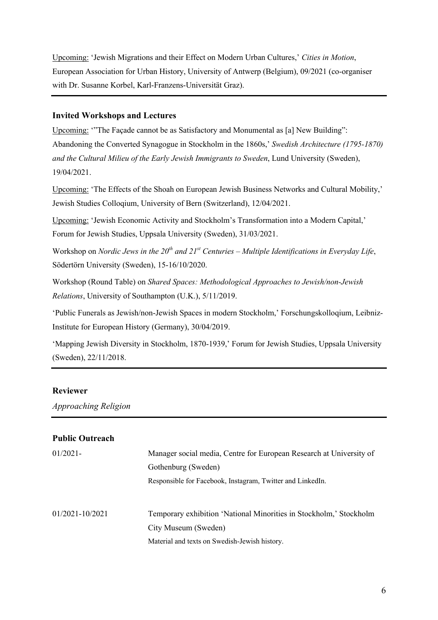Upcoming: 'Jewish Migrations and their Effect on Modern Urban Cultures,' *Cities in Motion*, European Association for Urban History, University of Antwerp (Belgium), 09/2021 (co-organiser with Dr. Susanne Korbel, Karl-Franzens-Universität Graz).

### **Invited Workshops and Lectures**

Upcoming: '"The Façade cannot be as Satisfactory and Monumental as [a] New Building": Abandoning the Converted Synagogue in Stockholm in the 1860s,' *Swedish Architecture (1795-1870) and the Cultural Milieu of the Early Jewish Immigrants to Sweden*, Lund University (Sweden), 19/04/2021.

Upcoming: 'The Effects of the Shoah on European Jewish Business Networks and Cultural Mobility,' Jewish Studies Colloqium, University of Bern (Switzerland), 12/04/2021.

Upcoming: 'Jewish Economic Activity and Stockholm's Transformation into a Modern Capital,' Forum for Jewish Studies, Uppsala University (Sweden), 31/03/2021.

Workshop on *Nordic Jews in the 20th and 21st Centuries – Multiple Identifications in Everyday Life*, Södertörn University (Sweden), 15-16/10/2020.

Workshop (Round Table) on *Shared Spaces: Methodological Approaches to Jewish/non-Jewish Relations*, University of Southampton (U.K.), 5/11/2019.

'Public Funerals as Jewish/non-Jewish Spaces in modern Stockholm,' Forschungskolloqium, Leibniz-Institute for European History (Germany), 30/04/2019.

'Mapping Jewish Diversity in Stockholm, 1870-1939,' Forum for Jewish Studies, Uppsala University (Sweden), 22/11/2018.

# **Reviewer**

*Approaching Religion*

| <b>Public Outreach</b> |                                                                     |  |
|------------------------|---------------------------------------------------------------------|--|
| $01/2021 -$            | Manager social media, Centre for European Research at University of |  |
|                        | Gothenburg (Sweden)                                                 |  |
|                        | Responsible for Facebook, Instagram, Twitter and LinkedIn.          |  |
| 01/2021-10/2021        | Temporary exhibition 'National Minorities in Stockholm,' Stockholm  |  |
|                        | City Museum (Sweden)                                                |  |
|                        | Material and texts on Swedish-Jewish history.                       |  |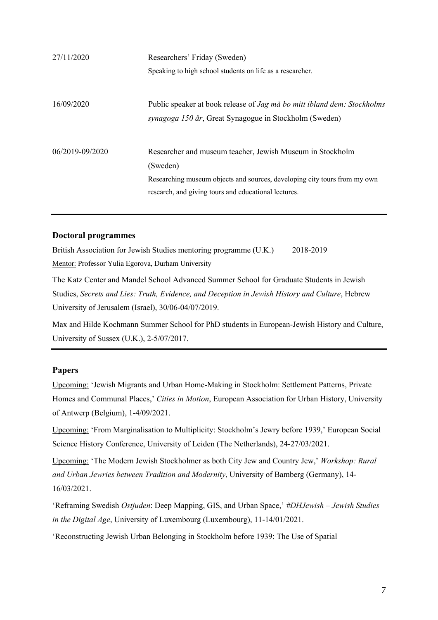| 27/11/2020      | Researchers' Friday (Sweden)                                                   |  |
|-----------------|--------------------------------------------------------------------------------|--|
|                 | Speaking to high school students on life as a researcher.                      |  |
|                 |                                                                                |  |
| 16/09/2020      | Public speaker at book release of <i>Jag må bo mitt ibland dem: Stockholms</i> |  |
|                 | synagoga 150 år, Great Synagogue in Stockholm (Sweden)                         |  |
|                 |                                                                                |  |
| 06/2019-09/2020 | Researcher and museum teacher, Jewish Museum in Stockholm                      |  |
|                 | (Sweden)                                                                       |  |
|                 | Researching museum objects and sources, developing city tours from my own      |  |
|                 | research, and giving tours and educational lectures.                           |  |
|                 |                                                                                |  |

### **Doctoral programmes**

British Association for Jewish Studies mentoring programme (U.K.) 2018-2019 Mentor: Professor Yulia Egorova, Durham University

The Katz Center and Mandel School Advanced Summer School for Graduate Students in Jewish Studies, *Secrets and Lies: Truth, Evidence, and Deception in Jewish History and Culture*, Hebrew University of Jerusalem (Israel), 30/06-04/07/2019.

Max and Hilde Kochmann Summer School for PhD students in European-Jewish History and Culture, University of Sussex (U.K.), 2-5/07/2017.

### **Papers**

Upcoming: 'Jewish Migrants and Urban Home-Making in Stockholm: Settlement Patterns, Private Homes and Communal Places,' *Cities in Motion*, European Association for Urban History, University of Antwerp (Belgium), 1-4/09/2021.

Upcoming: 'From Marginalisation to Multiplicity: Stockholm's Jewry before 1939,' European Social Science History Conference, University of Leiden (The Netherlands), 24-27/03/2021.

Upcoming: 'The Modern Jewish Stockholmer as both City Jew and Country Jew,' *Workshop: Rural and Urban Jewries between Tradition and Modernity*, University of Bamberg (Germany), 14- 16/03/2021.

'Reframing Swedish *Ostjuden*: Deep Mapping, GIS, and Urban Space,' *#DHJewish – Jewish Studies in the Digital Age*, University of Luxembourg (Luxembourg), 11-14/01/2021.

'Reconstructing Jewish Urban Belonging in Stockholm before 1939: The Use of Spatial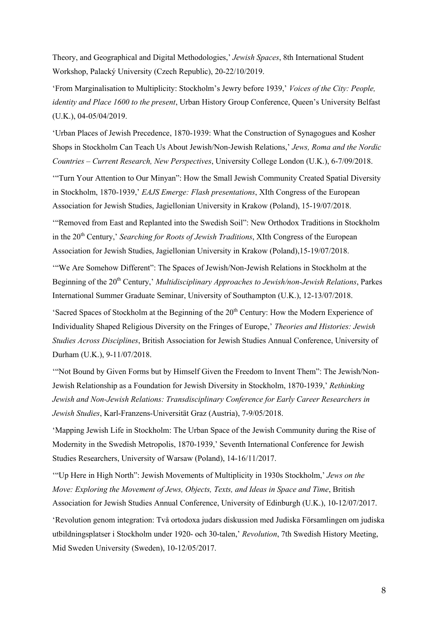Theory, and Geographical and Digital Methodologies,' *Jewish Spaces*, 8th International Student Workshop, Palacký University (Czech Republic), 20-22/10/2019.

'From Marginalisation to Multiplicity: Stockholm's Jewry before 1939,' *Voices of the City: People, identity and Place 1600 to the present*, Urban History Group Conference, Queen's University Belfast (U.K.), 04-05/04/2019.

'Urban Places of Jewish Precedence, 1870-1939: What the Construction of Synagogues and Kosher Shops in Stockholm Can Teach Us About Jewish/Non-Jewish Relations,' *Jews, Roma and the Nordic Countries – Current Research, New Perspectives*, University College London (U.K.), 6-7/09/2018.

'"Turn Your Attention to Our Minyan": How the Small Jewish Community Created Spatial Diversity in Stockholm, 1870-1939,' *EAJS Emerge: Flash presentations*, XIth Congress of the European Association for Jewish Studies, Jagiellonian University in Krakow (Poland), 15-19/07/2018.

'"Removed from East and Replanted into the Swedish Soil": New Orthodox Traditions in Stockholm in the 20<sup>th</sup> Century,' *Searching for Roots of Jewish Traditions*, XIth Congress of the European Association for Jewish Studies, Jagiellonian University in Krakow (Poland),15-19/07/2018.

'"We Are Somehow Different": The Spaces of Jewish/Non-Jewish Relations in Stockholm at the Beginning of the 20th Century,' *Multidisciplinary Approaches to Jewish/non-Jewish Relations*, Parkes International Summer Graduate Seminar, University of Southampton (U.K.), 12-13/07/2018.

'Sacred Spaces of Stockholm at the Beginning of the  $20<sup>th</sup>$  Century: How the Modern Experience of Individuality Shaped Religious Diversity on the Fringes of Europe,' *Theories and Histories: Jewish Studies Across Disciplines*, British Association for Jewish Studies Annual Conference, University of Durham (U.K.), 9-11/07/2018.

'"Not Bound by Given Forms but by Himself Given the Freedom to Invent Them": The Jewish/Non-Jewish Relationship as a Foundation for Jewish Diversity in Stockholm, 1870-1939,' *Rethinking Jewish and Non-Jewish Relations: Transdisciplinary Conference for Early Career Researchers in Jewish Studies*, Karl-Franzens-Universität Graz (Austria), 7-9/05/2018.

'Mapping Jewish Life in Stockholm: The Urban Space of the Jewish Community during the Rise of Modernity in the Swedish Metropolis, 1870-1939,' Seventh International Conference for Jewish Studies Researchers, University of Warsaw (Poland), 14-16/11/2017.

'"Up Here in High North": Jewish Movements of Multiplicity in 1930s Stockholm,' *Jews on the Move: Exploring the Movement of Jews, Objects, Texts, and Ideas in Space and Time*, British Association for Jewish Studies Annual Conference, University of Edinburgh (U.K.), 10-12/07/2017.

'Revolution genom integration: Två ortodoxa judars diskussion med Judiska Församlingen om judiska utbildningsplatser i Stockholm under 1920- och 30-talen,' *Revolution*, 7th Swedish History Meeting, Mid Sweden University (Sweden), 10-12/05/2017.